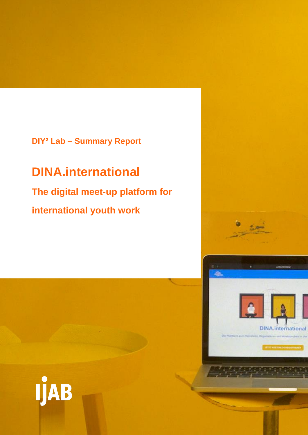## **DIY² Lab – Summary Report**

# **DINA.international**

# **The digital meet-up platform for international youth work**

 $m$ 

**DINA**.international

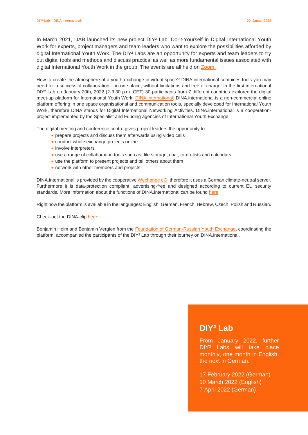In March 2021, IJAB launched its new project DIY<sup>2</sup> Lab: Do-it-Yourself in Digital International Youth Work for experts, project managers and team leaders who want to explore the possibilities afforded by digital International Youth Work. The DIY² Labs are an opportunity for experts and team leaders to try out digital tools and methods and discuss practical as well as more fundamental issues associated with digital International Youth Work in the group. The events are all held on [Zoom.](https://zoom.us/de-de/meetings.html)

How to create the atmosphere of a youth exchange in virtual space? DINA.international combines tools you may need for a successful collaboration – in one place, without limitations and free of charge! In the first international DIY<sup>2</sup> Lab on January 20th, 2022 (2-3:30 p.m. CET) 30 participants from 7 different countries explored the digital meet-up platform for International Youth Work: **DINA.international**. DINA.international is a non-commercial online platform offering in one space organisational and communication tools, specially developed for International Youth Work, therefore DINA stands for Digital International Networking Activities. DINA.international is a cooperationproject implemented by the Specialist and Funding agencies of International Youth Exchange.

The digital meeting and conference centre gives project leaders the opportunity to:

- **•** prepare projects and discuss them afterwards using video calls
- conduct whole exchange projects online
- involve interpreters
- use a range of collaboration tools such as: file storage, chat, to-do-lists and calendars
- use the platform to present projects and tell others about them
- network with other members and projects

DINA.international is provided by the cooperativ[e Wechange eG,](https://wechange.de/cms/cooperative/?lang=en) therefore it uses a German climate-neutral server. Furthermore it is data-protection compliant, advertising-free and designed according to current EU security standards. More information about the functions of DINA.international can be found [here.](https://dina.international/cms/funktionen/?lang=en)

Right now the platform is available in the languages: English, German, French, Hebrew, Czech, Polish and Russian.

Check-out the DINA-clip [here.](https://www.youtube.com/watch?v=LAzjzeJ6eAg)

Benjamin Holm and Benjamin Vergien from the [Foundation of German-Russian Youth Exchange,](https://www.stiftung-drja.de/) coordinating the platform, accompanied the participants of the DIY² Lab through their journey on DINA.international.

### **DIY² Lab**

From January 2022, further DIY² Labs will take place monthly, one month in English, the next in German.

17 February 2022 (German) 10 March 2022 (English) 7 April 2022 (German)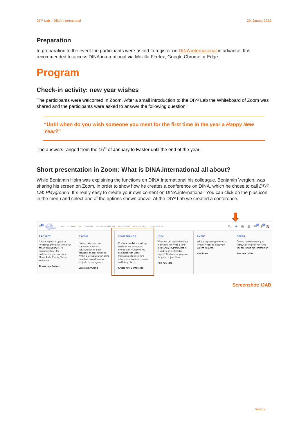#### **Preparation**

In preparation to the event the participants were asked to register on **DINA**.international in advance. It is recommended to access DINA.international via Mozilla Firefox, Google Chrome or Edge.

## **Program**

#### **Check-in activity: new year wishes**

The participants were welcomed in Zoom. After a small introduction to the DIY² Lab the Whiteboard of Zoom was shared and the participants were asked to answer the following question:

**"Until when do you wish someone you meet for the first time in the year a** *Happy New Year***?"**

The answers ranged from the 15<sup>th</sup> of January to Easter until the end of the year.

#### **Short presentation in Zoom: What is DINA.international all about?**

While Benjamin Holm was explaining the functions on DINA.International his colleague, Benjamin Vergien, was sharing his screen on Zoom, in order to show how he creates a conference on DINA, which he chose to call *DIY²*  Lab Playground. It's really easy to create your own content on DINA.international. You can click on the plus icon in the menu and select one of the options shown above. At the DIY<sup>2</sup> Lab we created a conference.



**Screenshot: IJAB**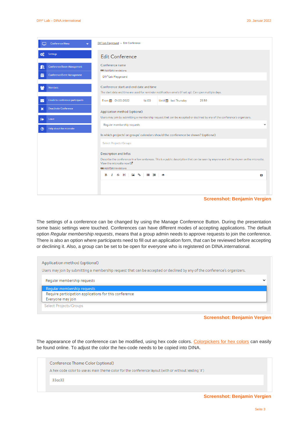|   | <b>Conference Menu</b>                                           | DIY <sup>2</sup> Lab Playground » Edit Conference                                                                                                                                                                                      |  |  |  |  |  |
|---|------------------------------------------------------------------|----------------------------------------------------------------------------------------------------------------------------------------------------------------------------------------------------------------------------------------|--|--|--|--|--|
|   | Settings                                                         | Edit Conference                                                                                                                                                                                                                        |  |  |  |  |  |
| 繭 | Conference Room Management<br><b>Conference Event Management</b> | Conference name<br><b>DE Add/Edit translations</b><br>DIY <sup>2</sup> Lab Playground                                                                                                                                                  |  |  |  |  |  |
|   | <b>Members</b>                                                   | Conference start and end date and time<br>The start date and time are used for reminder notification emails (if set up). Can span multiple days.                                                                                       |  |  |  |  |  |
|   | <b>Emails to conference participants</b>                         | From # 01/20/2022<br>Until all last Thursday<br>14:00<br>23:59                                                                                                                                                                         |  |  |  |  |  |
| × | <b>Deactivate Conference</b>                                     | Application method (optional)                                                                                                                                                                                                          |  |  |  |  |  |
| G | Leave                                                            | Users may join by submitting a membership request that can be accepted or declined by any of the conference's organizers.                                                                                                              |  |  |  |  |  |
|   | Help about the microsite                                         | Regular membership requests<br>$\checkmark$                                                                                                                                                                                            |  |  |  |  |  |
|   |                                                                  | In which projects' or groups' calendars should the conference be shown? (optional)                                                                                                                                                     |  |  |  |  |  |
|   |                                                                  | <b>Select Projects/Groups</b>                                                                                                                                                                                                          |  |  |  |  |  |
|   |                                                                  | <b>Description and Infos</b><br>Describe the conference in a few sentences. This is a public description that can be seen by anyone and will be shown on the microsite.<br>View the microsite now L<br><b>BB</b> Add/Edit translations |  |  |  |  |  |
|   |                                                                  |                                                                                                                                                                                                                                        |  |  |  |  |  |
|   |                                                                  |                                                                                                                                                                                                                                        |  |  |  |  |  |
|   |                                                                  | $I \oplus H$ $\Box$ %<br>1日 日<br>B<br>$\circ$<br>$\vert x \vert$                                                                                                                                                                       |  |  |  |  |  |
|   |                                                                  |                                                                                                                                                                                                                                        |  |  |  |  |  |
|   |                                                                  |                                                                                                                                                                                                                                        |  |  |  |  |  |

#### **Screenshot: Benjamin Vergien**

The settings of a conference can be changed by using the Manage Conference Button. During the presentation some basic settings were touched. Conferences can have different modes of accepting applications. The default option *Regular membership requests*, means that a group admin needs to approve requests to join the conference. There is also an option where participants need to fill out an application form, that can be reviewed before accepting or declining it. Also, a group can be set to be open for everyone who is registered on DINA.international.

| Application method (optional)                                                                                             |             |  |  |  |
|---------------------------------------------------------------------------------------------------------------------------|-------------|--|--|--|
| Users may join by submitting a membership request that can be accepted or declined by any of the conference's organizers. |             |  |  |  |
| Regular membership requests                                                                                               | $\check{ }$ |  |  |  |
| Regular membership requests                                                                                               |             |  |  |  |
| Require participation applications for this conference                                                                    |             |  |  |  |
| Everyone may join                                                                                                         |             |  |  |  |
| <b>Select Projects/Groups</b>                                                                                             |             |  |  |  |

**Screenshot: Benjamin Vergien**

The appearance of the conference can be modified, using hex code colors. [Colorpickers for hex colors](https://www.color-hex.com/) can easily be found online. To adjust the color the hex-code needs to be copied into DINA.



**Screenshot: Benjamin Vergien**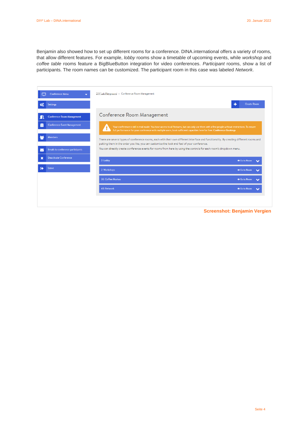Benjamin also showed how to set up different rooms for a conference. DINA.international offers a variety of rooms, that allow different features. For example, *lobby* rooms show a timetable of upcoming events, while *workshop* and *coffee table* rooms feature a BigBlueButton integration for video conferences. *Participant* rooms, show a list of participants. The room names can be customized. The participant room in this case was labeled *Network*.

|             | DIY <sup>2</sup> Lab Playground » Conference Room Management<br><b>Conference Menu</b> |                                                                                                                                                                                                                                                                             |                    |                       |  |  |  |
|-------------|----------------------------------------------------------------------------------------|-----------------------------------------------------------------------------------------------------------------------------------------------------------------------------------------------------------------------------------------------------------------------------|--------------------|-----------------------|--|--|--|
| ත්          | <b>Settings</b>                                                                        | ۰                                                                                                                                                                                                                                                                           | <b>Create Room</b> |                       |  |  |  |
|             | Conference Room Management                                                             | Conference Room Management                                                                                                                                                                                                                                                  |                    |                       |  |  |  |
| 蘦           | Conference Event Management                                                            | Your conference is still in trial mode. You have access to all features, but can only use them with a few people without restrictions. To ensure<br>full performance for your conference with multiple users, book sufficient capacities here for free: Conference Bookings |                    |                       |  |  |  |
|             | <b>Members</b>                                                                         | There are several types of conference rooms, each with their own different interface and functionality. By creating different rooms and<br>putting them in the order you like, you can customise the look and feel of your conference.                                      |                    |                       |  |  |  |
|             | Emails to conference participants                                                      | You can directly create conference events for rooms from here by using the controls for each room's dropdown menu.                                                                                                                                                          |                    |                       |  |  |  |
| $\mathbf x$ | <b>Deactivate Conference</b>                                                           | 2: Lobby                                                                                                                                                                                                                                                                    | <b>So to Room</b>  | $\tilde{\phantom{a}}$ |  |  |  |
|             | Leave                                                                                  | 2: Workshops                                                                                                                                                                                                                                                                | <b>Go to Room</b>  | ີ                     |  |  |  |
|             |                                                                                        | 30: Coffee Moskau                                                                                                                                                                                                                                                           | <b>So to Room</b>  |                       |  |  |  |
|             |                                                                                        | 40: Network                                                                                                                                                                                                                                                                 | <b>So to Room</b>  |                       |  |  |  |
|             |                                                                                        |                                                                                                                                                                                                                                                                             |                    |                       |  |  |  |

**Screenshot: Benjamin Vergien**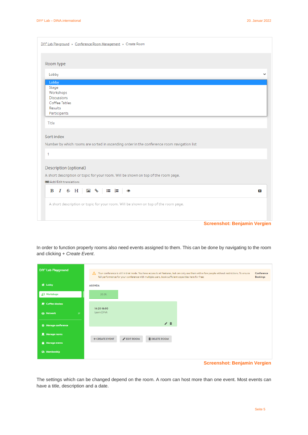| DIY <sup>2</sup> Lab Playground » Conference Room Management » Create Room                 |                                     |   |
|--------------------------------------------------------------------------------------------|-------------------------------------|---|
| Room type                                                                                  |                                     |   |
| Lobby                                                                                      |                                     | v |
| Lobby                                                                                      |                                     |   |
| Stage<br>Workshops<br><b>Discussions</b>                                                   |                                     |   |
| Coffee Tables<br>Results<br>Participants                                                   |                                     |   |
| Title                                                                                      |                                     |   |
| Sort index                                                                                 |                                     |   |
| Number by which rooms are sorted in ascending order in the conference room navigation list |                                     |   |
| 1                                                                                          |                                     |   |
| Description (optional)                                                                     |                                     |   |
| A short description or topic for your room. Will be shown on top of the room page.         |                                     |   |
| <b>DE Add/Edit translations</b>                                                            |                                     |   |
| B $I \oplus H$ <b>E</b> $\circledast$ <b>E</b> $\mathsf{E}$ $\circledast$                  | $\overline{\mathbf{x}}$             |   |
| A short description or topic for your room. Will be shown on top of the room page.         |                                     |   |
|                                                                                            | <b>Screenshot: Benjamin Vergien</b> |   |

In order to function properly rooms also need events assigned to them. This can be done by navigating to the room and clicking + *Create Event*.

| DIY <sup>2</sup> Lab Playground | Your conference is still in trial mode. You have access to all features, but can only use them with a few people without restrictions. To ensure<br>Δ<br>full performance for your conference with multiple users, book sufficient capacities here for free: | Conference<br><b>Bookings</b> |
|---------------------------------|--------------------------------------------------------------------------------------------------------------------------------------------------------------------------------------------------------------------------------------------------------------|-------------------------------|
| 谷 Lobby                         | <b>AGENDA</b>                                                                                                                                                                                                                                                |                               |
| <b>J</b> Workshops              | 20.01.                                                                                                                                                                                                                                                       |                               |
| Coffee Moskau                   | 14:20-16:00                                                                                                                                                                                                                                                  |                               |
| <b>223 Network</b><br>27        | Learn DINA                                                                                                                                                                                                                                                   |                               |
| <b>C</b> Manage conference      |                                                                                                                                                                                                                                                              |                               |
| Manage rooms                    | + CREATE EVENT<br>EDIT ROOM<br><b>m</b> DELETE ROOM                                                                                                                                                                                                          |                               |
| Manage events                   |                                                                                                                                                                                                                                                              |                               |
| 26 Membership                   |                                                                                                                                                                                                                                                              |                               |
|                                 | <b>Screenshot: Benjamin Vergien</b>                                                                                                                                                                                                                          |                               |

The settings which can be changed depend on the room. A room can host more than one event. Most events can have a title, description and a date.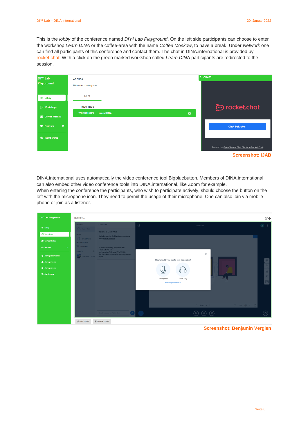This is the *lobby* of the conference named *DIY² Lab Playground*. On the left side participants can choose to enter the workshop *Learn DINA* or the coffee-area with the name *Coffee Moskow*, to have a break. Under *Network* one can find all participants of this conference and contact them. The chat in DINA.international is provided by [rocket.chat.](https://de.rocket.chat/) With a click on the green marked workshop called *Learn DINA* participants are redirected to the session.

| DIY <sup>2</sup> Lab    | <b>AGENDA</b>                         | > CHATS |                                                   |
|-------------------------|---------------------------------------|---------|---------------------------------------------------|
| Playground              | Welcome to everyone                   |         |                                                   |
| 谷 Lobby                 | 20.01.                                |         |                                                   |
| <b>Norkshops</b>        | 14:20-16:00                           |         | procket.chat                                      |
| Coffee Moskau           | <b>WORKSHOPS</b><br><b>Learn DINA</b> | ö       |                                                   |
| <b>25 Network</b><br>27 |                                       |         | <b>Chat beitreten</b>                             |
| <b>28 Membership</b>    |                                       |         |                                                   |
|                         |                                       |         | Powered by Open Source Chat Platform Rocket.Chat. |

**Screenshot: IJAB**

DINA.international uses automatically the video conference tool Bigbluebutton. Members of DINA.international can also embed other video conference tools into DINA.international, like Zoom for example.

When entering the conference the participants, who wish to participate actively, should choose the button on the left with the microphone icon. They need to permit the usage of their microphone. One can also join via mobile phone or join as a listener.



**Screenshot: Benjamin Vergien**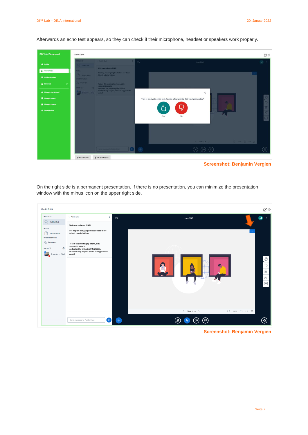Afterwards an echo test appears, so they can check if their microphone, headset or speakers work properly.



**Screenshot: Benjamin Vergien**

On the right side is a permanent presentation. If there is no presentation, you can minimize the presentation window with the minus icon on the upper right side.

| <b>LEARN DINA</b>                                                                                                                                                                          |                                                                                                                                                                                                                                                                    |   |                                                                                                                                                                                                                            | 乙辛                                                                                   |
|--------------------------------------------------------------------------------------------------------------------------------------------------------------------------------------------|--------------------------------------------------------------------------------------------------------------------------------------------------------------------------------------------------------------------------------------------------------------------|---|----------------------------------------------------------------------------------------------------------------------------------------------------------------------------------------------------------------------------|--------------------------------------------------------------------------------------|
| <b>MESSAGES</b>                                                                                                                                                                            | < Public Chat<br>÷                                                                                                                                                                                                                                                 | ଔ | Learn DINA                                                                                                                                                                                                                 | all.                                                                                 |
| $\mathbb{Q}$ Public Chat<br><b>NOTES</b><br>n<br><b>Shared Notes</b><br><b>INTERPRETATION</b><br>$\overrightarrow{X}_{\!\!\bar{A}}$ . Languages<br>USERS (1)<br>₩<br>27<br>Benjamin  (You) | <b>Welcome to Learn DINA!</b><br>For help on using BigBlueButton see these<br>(short) tutorial videos.<br>To join this meeting by phone, dial:<br>+4930 235 989 439<br>and enter the following PIN:27986#.<br>Use the 0-key on your phone to toggle mute<br>on/off |   | $\label{eq:4} \begin{array}{lllllllllllll} \hspace{0.25cm} \bigoplus & 100\% & \bigoplus & \longleftrightarrow & \begin{array}{c} \bullet \bullet \end{array} & \bullet \end{array}$<br>$\langle$ Slide 1 $\sim$ $\rangle$ | $\sqrt{\frac{1}{2}}$<br>$\leftarrow$<br>Ū<br>$\sqrt{\mathfrak{h}}$<br>$\boxed{\sim}$ |
|                                                                                                                                                                                            | $\triangleright$<br>Send message to Public Chat                                                                                                                                                                                                                    |   | ี &<br>ั (⊠<br>ี่ เ⊿ี                                                                                                                                                                                                      | $\Theta$                                                                             |

**Screenshot: Benjamin Vergien**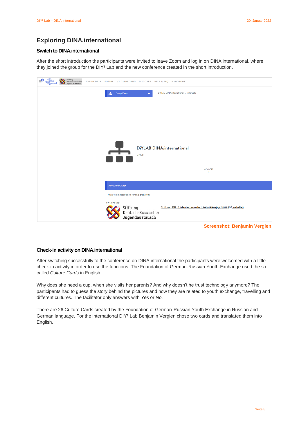#### **Exploring DINA.international**

#### **Switch to DINA.international**

After the short introduction the participants were invited to leave Zoom and log in on DINA.international, where they joined the group for the DIY² Lab and the new conference created in the short introduction.

| -2<br>$\frac{1}{\sqrt{1+\frac{1}{2}}}\frac{\sin \theta}{\sin \theta}$ | Stiftung<br>Deutsch-Russischer<br>Jugendaustausch |                                             |                                       | FORUM DRJA FORUM MY DASHBOARD DISCOVER HELP & FAQ HANDBOOK  |
|-----------------------------------------------------------------------|---------------------------------------------------|---------------------------------------------|---------------------------------------|-------------------------------------------------------------|
|                                                                       |                                                   | <b>Group Menu</b><br>da.                    |                                       | DiYLAB DINA.international » Microsite                       |
|                                                                       |                                                   |                                             |                                       |                                                             |
|                                                                       |                                                   |                                             |                                       |                                                             |
|                                                                       |                                                   |                                             |                                       | <b>DIYLAB DINA.international</b>                            |
|                                                                       |                                                   | <u>r+</u>                                   | Group                                 |                                                             |
|                                                                       |                                                   |                                             |                                       | <b>MEMBERS</b><br>4                                         |
|                                                                       |                                                   | <b>About the Group</b>                      |                                       |                                                             |
|                                                                       |                                                   | There is no description for this group yet. |                                       |                                                             |
|                                                                       |                                                   | <b>Portal Partner</b><br>Stiftung           | Deutsch-Russischer<br>Jugendaustausch | Stiftung DRJA /deutsch-russisch германо-русский (Z website) |
|                                                                       |                                                   |                                             |                                       | <b>Screenshot: Benjamin Vergien</b>                         |

**Check-in activity on DINA.international** 

After switching successfully to the conference on DINA.international the participants were welcomed with a little check-in activity in order to use the functions. The Foundation of German-Russian Youth-Exchange used the so called *Culture Cards* in English.

Why does she need a cup, when she visits her parents? And why doesn't he trust technology anymore? The participants had to guess the story behind the pictures and how they are related to youth exchange, travelling and different cultures. The facilitator only answers with *Yes* or *No.*

There are 26 Culture Cards created by the Foundation of German-Russian Youth Exchange in Russian and German language. For the international DIY² Lab Benjamin Vergien chose two cards and translated them into English.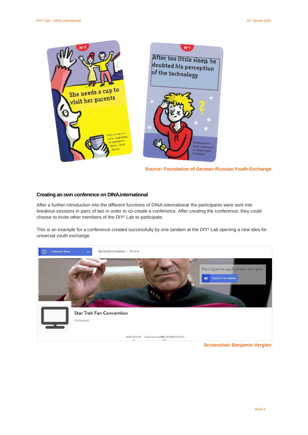

```
 Source: Foundation of German-Russian Youth-Exchange
```
#### **Creating an own conference on DINA.international**

After a further introduction into the different functions of DINA.international the participants were sent into breakout-sessions in pairs of two in order to co-create a conference. After creating the conference, they could choose to invite other members of the DIY² Lab to participate.

This is an example for a conference created successfully by one tandem at the DIY² Lab opening a new idea for universal youth exchange.



**Screenshot: Benjamin Vergien**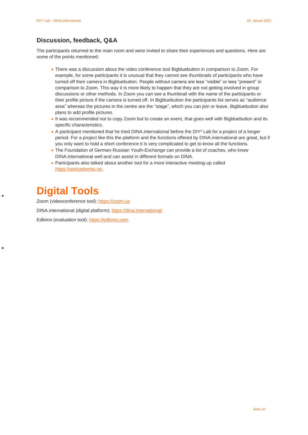#### **Discussion, feedback, Q&A**

The participants returned to the main room and were invited to share their experiences and questions. Here are some of the points mentioned:

- There was a discussion about the video conference tool Bigbluebutton in comparison to Zoom. For example, for some participants it is unusual that they cannot see thumbnails of participants who have turned off their camera in Bigbluebutton. People without camera are less "visible" or less "present" in comparison to Zoom. This way it is more likely to happen that they are not getting involved in group discussions or other methods. In Zoom you can see a thumbnail with the name of the participants or their profile picture if the camera is turned off. In Bigbluebutton the participants list serves as "audience area" whereas the pictures in the centre are the "stage", which you can join or leave. Bigbluebutton also plans to add profile pictures.
- It was recommended not to copy Zoom but to create an event, that goes well with Bigbluebutton and its specific characteristics.
- A participant mentioned that he tried DINA.international before the DIY² Lab for a project of a longer period. For a project like this the platform and the functions offered by DINA.international are great, but if you only want to hold a short conference it is very complicated to get to know all the functions.
- The Foundation of German-Russian Youth-Exchange can provide a list of coaches, who know DINA.international well and can assist in different formats on DINA.
- Participants also talked about another tool for a more interactive meeting-up called [https://workadventu.re/.](https://workadventu.re/)

## **Digital Tools**

Zoom (videoconference tool)[: https://zoom.us](https://zoom.us/)

DINA.international (digital platform):<https://dina.international/>

Edkimo (evaluation tool): [https://edkimo.com](https://edkimo.com/)